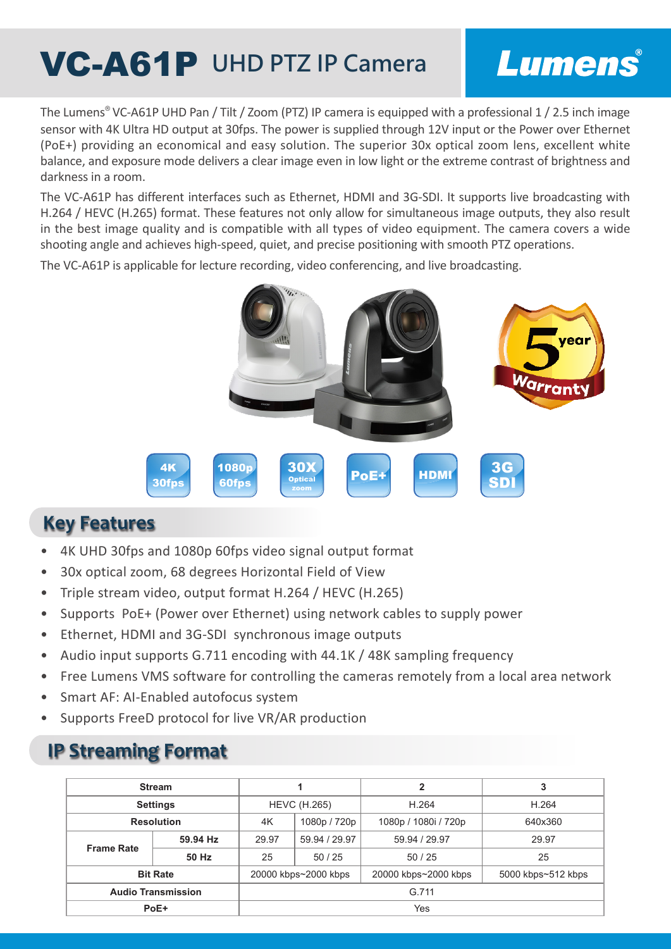# **VC-A61P** UHD PTZ IP Camera

## Lumens®

The Lumens® VC-A61P UHD Pan / Tilt / Zoom (PTZ) IP camera is equipped with a professional 1 / 2.5 inch image sensor with 4K Ultra HD output at 30fps. The power is supplied through 12V input or the Power over Ethernet (PoE+) providing an economical and easy solution. The superior 30x optical zoom lens, excellent white balance, and exposure mode delivers a clear image even in low light or the extreme contrast of brightness and darkness in a room.

The VC-A61P has different interfaces such as Ethernet, HDMI and 3G-SDI. It supports live broadcasting with H.264 / HEVC (H.265) format. These features not only allow for simultaneous image outputs, they also result in the best image quality and is compatible with all types of video equipment. The camera covers a wide shooting angle and achieves high-speed, quiet, and precise positioning with smooth PTZ operations.

The VC-A61P is applicable for lecture recording, video conferencing, and live broadcasting.



#### **Key Features**

- 4K UHD 30fps and 1080p 60fps video signal output format
- 30x optical zoom, 68 degrees Horizontal Field of View
- Triple stream video, output format H.264 / HEVC (H.265)
- Supports PoE+ (Power over Ethernet) using network cables to supply power
- Ethernet, HDMI and 3G-SDI synchronous image outputs
- Audio input supports G.711 encoding with 44.1K / 48K sampling frequency
- Free Lumens VMS software for controlling the cameras remotely from a local area network
- Smart AF: AI-Enabled autofocus system
- Supports FreeD protocol for live VR/AR production

#### **IP Streaming Format**

| <b>Stream</b>             |          |                      |               | 2                    | 3                  |
|---------------------------|----------|----------------------|---------------|----------------------|--------------------|
| <b>Settings</b>           |          | <b>HEVC (H.265)</b>  |               | H.264                | H.264              |
| <b>Resolution</b>         |          | 4K                   | 1080p / 720p  | 1080p / 1080i / 720p | 640x360            |
| <b>Frame Rate</b>         | 59.94 Hz | 29.97                | 59.94 / 29.97 | 59.94 / 29.97        | 29.97              |
|                           | 50 Hz    | 25                   | 50/25         | 50/25                | 25                 |
| <b>Bit Rate</b>           |          | 20000 kbps~2000 kbps |               | 20000 kbps~2000 kbps | 5000 kbps~512 kbps |
| <b>Audio Transmission</b> |          | G.711                |               |                      |                    |
| PoE+                      |          | Yes                  |               |                      |                    |